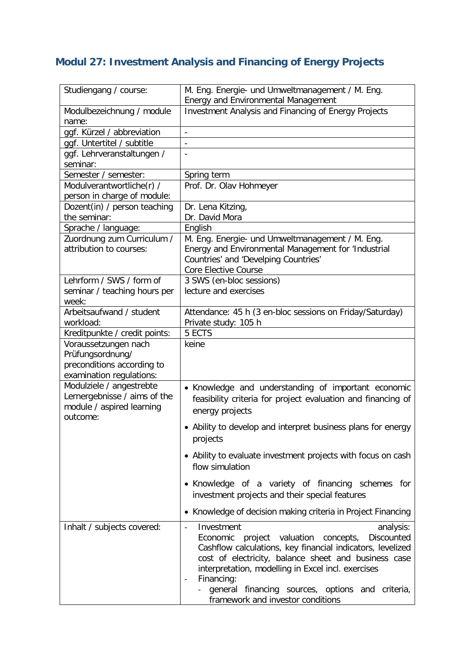## **Modul 27: Investment Analysis and Financing of Energy Projects**

| Studiengang / course:                                 | M. Eng. Energie- und Umweltmanagement / M. Eng.<br><b>Energy and Environmental Management</b>                                                                          |
|-------------------------------------------------------|------------------------------------------------------------------------------------------------------------------------------------------------------------------------|
| Modulbezeichnung / module<br>name:                    | Investment Analysis and Financing of Energy Projects                                                                                                                   |
| ggf. Kürzel / abbreviation                            | $\overline{a}$                                                                                                                                                         |
| ggf. Untertitel / subtitle                            |                                                                                                                                                                        |
| ggf. Lehrveranstaltungen /                            | $\overline{\phantom{a}}$                                                                                                                                               |
| seminar:                                              |                                                                                                                                                                        |
| Semester / semester:                                  | Spring term                                                                                                                                                            |
| Modulverantwortliche(r) /                             | Prof. Dr. Olav Hohmeyer                                                                                                                                                |
| person in charge of module:                           |                                                                                                                                                                        |
| Dozent(in) / person teaching                          | Dr. Lena Kitzing,                                                                                                                                                      |
| the seminar:                                          | Dr. David Mora                                                                                                                                                         |
| Sprache / language:                                   | English                                                                                                                                                                |
| Zuordnung zum Curriculum /<br>attribution to courses: | M. Eng. Energie- und Umweltmanagement / M. Eng.<br>Energy and Environmental Management for 'Industrial<br>Countries' and 'Develping Countries'<br>Core Elective Course |
| Lehrform / SWS / form of                              | 3 SWS (en-bloc sessions)                                                                                                                                               |
| seminar / teaching hours per                          | lecture and exercises                                                                                                                                                  |
| week:<br>Arbeitsaufwand / student                     |                                                                                                                                                                        |
| workload:                                             | Attendance: 45 h (3 en-bloc sessions on Friday/Saturday)<br>Private study: 105 h                                                                                       |
| Kreditpunkte / credit points:                         | 5 ECTS                                                                                                                                                                 |
| Voraussetzungen nach                                  | keine                                                                                                                                                                  |
| Prüfungsordnung/                                      |                                                                                                                                                                        |
| preconditions according to                            |                                                                                                                                                                        |
| examination regulations:                              |                                                                                                                                                                        |
| Modulziele / angestrebte                              | • Knowledge and understanding of important economic                                                                                                                    |
| Lernergebnisse / aims of the                          | feasibility criteria for project evaluation and financing of                                                                                                           |
| module / aspired learning                             | energy projects                                                                                                                                                        |
| outcome:                                              | • Ability to develop and interpret business plans for energy                                                                                                           |
|                                                       | projects                                                                                                                                                               |
|                                                       | • Ability to evaluate investment projects with focus on cash                                                                                                           |
|                                                       | flow simulation                                                                                                                                                        |
|                                                       | • Knowledge of a variety of financing schemes for                                                                                                                      |
|                                                       | investment projects and their special features                                                                                                                         |
|                                                       | • Knowledge of decision making criteria in Project Financing                                                                                                           |
| Inhalt / subjects covered:                            | Investment<br>analysis:<br>$\overline{a}$                                                                                                                              |
|                                                       | Economic<br>project<br>valuation<br>concepts,<br><b>Discounted</b>                                                                                                     |
|                                                       | Cashflow calculations, key financial indicators, levelized                                                                                                             |
|                                                       | cost of electricity, balance sheet and business case                                                                                                                   |
|                                                       | interpretation, modelling in Excel incl. exercises                                                                                                                     |
|                                                       | Financing:<br>$\overline{\phantom{a}}$                                                                                                                                 |
|                                                       | general financing sources, options and<br>criteria,                                                                                                                    |
|                                                       | framework and investor conditions                                                                                                                                      |